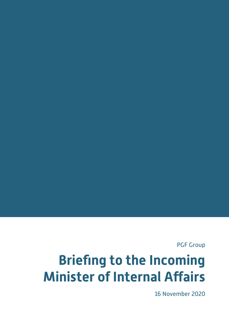PGF Group

# **Briefing to the Incoming Minister of Internal Affairs**

16 November 2020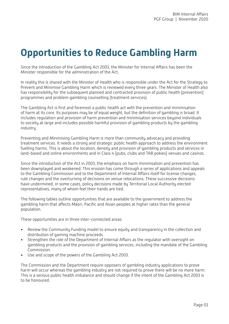# **Opportunities to Reduce Gambling Harm**

Since the introduction of the Gambling Act 2003, the Minister for Internal Affairs has been the Minister responsible for the administration of the Act.

In reality this is shared with the Minister of Health who is responsible under the Act for the Strategy to Prevent and Minimise Gambling Harm which is reviewed every three years. The Minister of Health also has responsibility for the subsequent planned and contracted provision of public health (prevention) programmes and problem gambling counselling (treatment services).

The Gambling Act is first and foremost a public health act with the prevention and minimisation of harm at its core. Its purposes may be of equal weight, but the definition of gambling is broad. It includes regulation and provision of harm prevention and minimisation services beyond individuals to society at large and includes possible harmful provision of gambling products by the gambling industry.

Preventing and Minimising Gambling Harm is more than community advocacy and providing treatment services. It needs a strong and strategic public health approach to address the environment fuelling harms. This is about the location, density and provision of gambling products and services in land-based and online environments and in Class 4 (pubs, clubs and TAB pokies) venues and casinos.

Since the introduction of the Act in 2003, the emphasis on harm minimisation and prevention has been downplayed and weakened. This erosion has come through a series of applications and appeals to the Gambling Commission and to the Department of Internal Affairs itself for license changes, rule changes and the overturning of decisions on venue relocations. These successive decisions have undermined, in some cases, policy decisions made by Territorial Local Authority elected representatives, many of whom feel their hands are tied.

The following tables outline opportunities that are available to the government to address the gambling harm that affects Māori, Pacific and Asian peoples at higher rates than the general population.

These opportunities are in three inter-connected areas:

- Review the Community Funding model to ensure equity and transparency in the collection and distribution of gaming machine proceeds.
- Strengthen the role of the Department of Internal Affairs as the regulator with oversight on gambling products and the provision of gambling services, including the mandate of the Gambling Commission.
- Use and scope of the powers of the Gambling Act 2003.

The Commission and the Department require opposers of gambling industry applications to prove harm will occur whereas the gambling industry are not required to prove there will be no more harm. This is a serious public health imbalance and should change if the intent of the Gambling Act 2003 is to be honoured.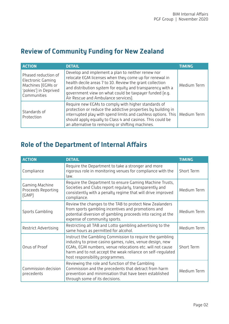#### **Review of Community Funding for New Zealand**

| <b>ACTION</b>                                                                                         | <b>DETAIL</b>                                                                                                                                                                                                                                                                                                                          | TIMING      |
|-------------------------------------------------------------------------------------------------------|----------------------------------------------------------------------------------------------------------------------------------------------------------------------------------------------------------------------------------------------------------------------------------------------------------------------------------------|-------------|
| Phased reduction of<br>Electronic Gaming<br>Machines (EGMs or<br>'pokies') in Deprived<br>Communities | Develop and implement a plan to neither renew nor<br>relocate EGM licenses when they come up for renewal in<br>health decile areas 7 to 10. Review the grant collection<br>and distribution system for equity and transparency with a<br>government view on what could be taxpayer funded [e.g.<br>Air Rescue and Ambulance services). | Medium Term |
| Standards of<br>Protection                                                                            | Require new EGMs to comply with higher standards of<br>protection or reduce the addictive properties by building in<br>interrupted play with spend limits and cashless options. This<br>should apply equally to Class 4 and casinos. This could be<br>an alternative to removing or shifting machines.                                 | Medium Term |

#### **Role of the Department of Internal Affairs**

| <b>ACTION</b>                                                                                                                                                                                                                                                                                      | <b>DETAIL</b>                                                                                                                                                                                                | <b>TIMING</b> |
|----------------------------------------------------------------------------------------------------------------------------------------------------------------------------------------------------------------------------------------------------------------------------------------------------|--------------------------------------------------------------------------------------------------------------------------------------------------------------------------------------------------------------|---------------|
| Compliance                                                                                                                                                                                                                                                                                         | Require the Department to take a stronger and more<br>rigorous role in monitoring venues for compliance with the<br>law.                                                                                     | Short Term    |
| Gaming Machine<br>Proceeds Reporting<br>[GMP]                                                                                                                                                                                                                                                      | Require the Department to ensure Gaming Machine Trusts,<br>Societies and Clubs report regularly, transparently and<br>consistently with a penalty regime that will drive improved<br>compliance.             | Medium Term   |
| Sports Gambling                                                                                                                                                                                                                                                                                    | Review the changes to the TAB to protect New Zealanders<br>from sports gambling incentives and promotions and<br>potential diversion of gambling proceeds into racing at the<br>expense of community sports. | Medium Term   |
| Restrict Advertising                                                                                                                                                                                                                                                                               | Restricting all TAB and Lotto gambling advertising to the<br>same hours as permitted for alcohol.                                                                                                            | Medium Term   |
| Instruct the Gambling Commission to require the gambling<br>industry to prove casino games, rules, venue design, new<br>EGMs, EGM numbers, venue relocations etc. will not cause<br>Onus of Proof<br>harm and to not accept the weak reliance on self-regulated<br>host responsibility programmes. |                                                                                                                                                                                                              | Short Term    |
| Commission decision<br>precedents                                                                                                                                                                                                                                                                  | Reviewing the role and function of the Gambling<br>Commission and the precedents that detract from harm<br>prevention and minimisation that have been established<br>through some of its decisions.          | Medium Term   |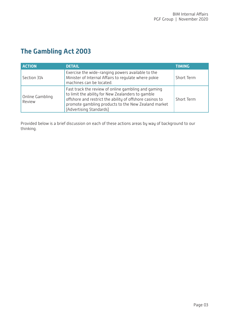#### **The Gambling Act 2003**

| <b>ACTION</b>             | <b>DETAIL</b>                                                                                                                                                                                                                                          | <b>TIMING</b> |
|---------------------------|--------------------------------------------------------------------------------------------------------------------------------------------------------------------------------------------------------------------------------------------------------|---------------|
| Section 314               | Exercise the wide-ranging powers available to the<br>Minister of Internal Affairs to regulate where pokie<br>machines can be located.                                                                                                                  | Short Term    |
| Online Gambling<br>Review | Fast track the review of online gambling and gaming<br>to limit the ability for New Zealanders to gamble<br>offshore and restrict the ability of offshore casinos to<br>promote gambling products to the New Zealand market<br>[Advertising Standards] | Short Term    |

Provided below is a brief discussion on each of these actions areas by way of background to our thinking.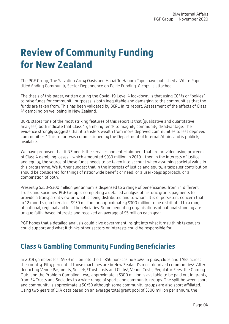# <span id="page-5-0"></span>**Review of Community Funding for New Zealand**

The PGF Group, The Salvation Army Oasis and Hapai Te Hauora Tapui have published a White Paper titled Ending Community Sector Dependence on Pokie Funding. A copy is attached.

The thesis of this paper, written during the Covid-19 Level 4 lockdown, is that using EGMs or "pokies" to raise funds for community purposes is both inequitable and damaging to the communities that the funds are taken from. This has been validated by BERL in its report, Assessment of the effects of Class [41](#page-13-0) gambling on wellbeing in New Zealand.

BERL states "one of the most striking features of this report is that [qualitative and quantitative analyses] both indicate that Class 4 gambling tends to magnify community disadvantage. The evidence strongly suggests that it transfers wealth from more deprived communities to less deprived communities." This report was commissioned by the Department of Internal Affairs and is publicly available.

We have proposed that if NZ needs the services and entertainment that are provided using proceeds of Class 4 gambling losses - which amounted \$939 million in 2019 - then in the interests of justice and equity, the source of these funds needs to be taken into account when assuming societal value in this programme. We further suggest that in the interests of justice and equity, a taxpayer contribution should be considered for things of nationwide benefit or need, or a user-pays approach, or a combination of both.

Presently \$250-\$300 million per annum is dispensed to a range of beneficiaries, from 34 different Trusts and Societies. PGF Group is completing a detailed analysis of historic grants payments to provide a transparent view on what is being distributed and to whom. It is of persistent concern that in 12 months gamblers lost \$939 million for approximately \$300 million to be distributed to a range of national, regional and local beneficiaries. Some benefiting organisations of national standing are unique faith-based interests and received an average of \$5 million each year.

PGF hopes that a detailed analysis could give government insight into what it may think taxpayers could support and what it thinks other sectors or interests could be responsible for.

#### **Class 4 Gambling Community Funding Beneficiaries**

In 2019 gamblers lost \$939 million into the 14,856 non-casino EGMs in pubs, clubs and TABs across the country. Fifty percent of those machines are in New Zealand's most deprived communities<sup>[2](#page-13-0)</sup>. After deducting Venue Payments, Society/Trust costs and Clubs<sup>[3](#page-13-0)</sup>, Venue Costs, Regulator Fees, the Gaming Duty and the Problem Gambling Levy, approximately \$300 million is available to be paid out in grants, from 34 Trusts and Societies to a wide range of sports and community groups. The split between sport and community is approximately 50/50 although some community groups are also sport affiliated. Using two years of DIA data based on an average total grant pool of \$300 million per annum, the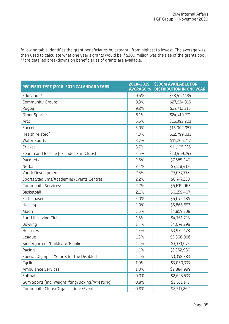<span id="page-6-0"></span>following table identifies the grant beneficiaries by category from highest to lowest. The average was then used to calculate what one year's grants would be if \$300 million was the size of the grants pool. More detailed breakdowns on beneficiaries of grants are available.

| RECIPIENT TYPE [2018-2019 CALENDAR YEARS]        | 2018-2019<br><b>AVERAGE %</b> | <b>\$300m AVAILABLE FOR</b><br><b>DISTRIBUTION IN ONE YEAR</b> |
|--------------------------------------------------|-------------------------------|----------------------------------------------------------------|
| Education <sup>4</sup>                           | 9.5%                          | \$28,462,184                                                   |
| Community Groups <sup>5</sup>                    | 9.3%                          | \$27,934,916                                                   |
| Rugby                                            | 9.2%                          | \$27,712,216                                                   |
| Other Sports <sup>6</sup>                        | 8.1%                          | \$24,419,271                                                   |
| Arts                                             | 5.5%                          | \$16,392,203                                                   |
| Soccer                                           | 5.0%                          | \$15,002,957                                                   |
| Health related <sup>7</sup>                      | 4.3%                          | \$12,799,031                                                   |
| <b>Water Sports</b>                              | 3.7%                          | \$11,205,717                                                   |
| Cricket                                          | 3.7%                          | \$11,105,235                                                   |
| Search and Rescue (excludes Surf Clubs)          | 3.5%                          | \$10,469,243                                                   |
| Racquets                                         | 2.6%                          | \$7,685,240                                                    |
| Netball                                          | 2.4%                          | \$7,118,418                                                    |
| Youth Development <sup>8</sup>                   | 2.3%                          | \$7,037,778                                                    |
| Sports Stadiums/Academies/Events Centres         | 2.2%                          | \$6,747,258                                                    |
| Community Services <sup>9</sup>                  | 2.2%                          | \$6,619,063                                                    |
| Basketball                                       | 2.1%                          | \$6,159,407                                                    |
| Faith-based                                      | 2.0%                          | \$6,072,184                                                    |
| Hockey                                           | 2.0%                          | \$5,865,693                                                    |
| Māori                                            | 1.6%                          | \$4,859,308                                                    |
| Surf Lifesaving Clubs                            | 1.6%                          | \$4,761,723                                                    |
| Bowling                                          | 1.4%                          | \$4,074,299                                                    |
| Hospices                                         | 1.3%                          | \$3,979,478                                                    |
| League                                           | 1.3%                          | \$3,868,096                                                    |
| Kindergartens/Childcare/Plunket                  | 1.1%                          | \$3,371,073                                                    |
| Racing                                           | 1.1%                          | \$3,362,980                                                    |
| Special Olympics/Sports for the Disabled         | 1.1%                          | \$3,358,283                                                    |
| Cycling                                          | 1.0%                          | \$3,050,333                                                    |
| <b>Ambulance Services</b>                        | 1.0%                          | \$2,884,999                                                    |
| Softball                                         | 0.9%                          | \$2,625,533                                                    |
| Gym Sports (inc. Weightlifting/Boxing/Wrestling) | 0.8%                          | \$2,531,143                                                    |
| Community Clubs/Organisations/Events             | 0.8%                          | \$2,517,262                                                    |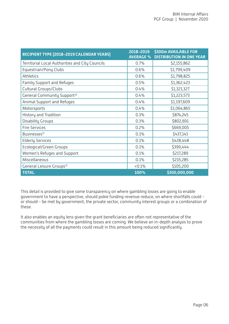<span id="page-7-0"></span>

| RECIPIENT TYPE [2018-2019 CALENDAR YEARS]       | 2018-2019<br><b>AVERAGE %</b> | <b>\$300m AVAILABLE FOR</b><br><b>DISTRIBUTION IN ONE YEAR</b> |
|-------------------------------------------------|-------------------------------|----------------------------------------------------------------|
| Territorial Local Authorities and City Councils | 0.7%                          | \$2,155,862                                                    |
| Equestrian/Pony Clubs                           | 0.6%                          | \$1,799,409                                                    |
| Athletics                                       | 0.6%                          | \$1,798,825                                                    |
| Family Support and Refuges                      | 0.5%                          | \$1,362,423                                                    |
| <b>Cultural Groups/Clubs</b>                    | 0.4%                          | \$1,321,327                                                    |
| General Community Support <sup>10</sup>         | 0.4%                          | \$1,223,573                                                    |
| Animal Support and Refuges                      | 0.4%                          | \$1,197,609                                                    |
| Motorsports                                     | 0.4%                          | \$1,064,865                                                    |
| History and Tradition                           | 0.3%                          | \$874,245                                                      |
| Disability Groups                               | 0.3%                          | \$802,691                                                      |
| <b>Fire Services</b>                            | 0.2%                          | \$669,005                                                      |
| Businesses <sup>11</sup>                        | 0.1%                          | \$437,143                                                      |
| <b>Elderly Services</b>                         | 0.1%                          | \$428,448                                                      |
| Ecological/Green Groups                         | 0.1%                          | \$399,444                                                      |
| Women's Refuges and Support                     | 0.1%                          | \$217,289                                                      |
| Miscellaneous                                   | 0.1%                          | \$215,285                                                      |
| General Leisure Groups <sup>12</sup>            | $< 0.1\%$                     | \$105,200                                                      |
| <b>TOTAL</b>                                    | 100%                          | \$300,000,000                                                  |

This detail is provided to give some transparency on where gambling losses are going to enable government to have a perspective, should pokie funding revenue reduce, on where shortfalls could or should - be met by government, the private sector, community interest groups or a combination of these.

It also enables an equity lens given the grant beneficiaries are often not representative of the communities from where the gambling losses are coming. We believe an in-depth analysis to prove the necessity of all the payments could result in this amount being reduced significantly.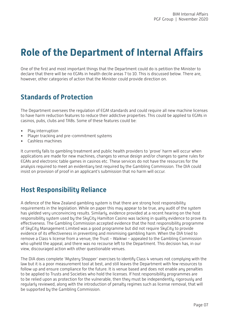# **Role of the Department of Internal Affairs**

One of the first and most important things that the Department could do is petition the Minister to declare that there will be no EGMs in health decile areas 7 to 10. This is discussed below. There are, however, other categories of action that the Minister could provide direction on.

#### **Standards of Protection**

The Department oversees the regulation of EGM standards and could require all new machine licenses to have harm reduction features to reduce their addictive properties. This could be applied to EGMs in casinos, pubs, clubs and TABs. Some of these features could be:

- Play interruption
- Player tracking and pre-commitment systems
- Cashless machines

It currently falls to gambling treatment and public health providers to 'prove' harm will occur when applications are made for new machines, changes to venue design and/or changes to game rules for EGMs and electronic table games in casinos etc. These services do not have the resources for the analysis required to meet an evidentiary test required by the Gambling Commission. The DIA could insist on provision of proof in an applicant's submission that no harm will occur.

#### **Host Responsibility Reliance**

A defence of the New Zealand gambling system is that there are strong host responsibility requirements in the legislation. While on paper this may appear to be true, any audit of the system has yielded very unconvincing results. Similarly, evidence provided at a recent hearing on the host responsibility system used by the SkyCity Hamilton Casino was lacking in quality evidence to prove its effectiveness. The Gambling Commission accepted evidence that the host responsibility programme of SkyCity Management Limited was a good programme but did not require SkyCity to provide evidence of its effectiveness in preventing and minimising gambling harm. When the DIA tried to remove a Class 4 license from a venue, the Trust - Waikiwi - appealed to the Gambling Commission who upheld the appeal, and there was no recourse left to the Department. This decision has, in our view, discouraged action with other questionable venues.

The DIA does complete 'Mystery Shopper' exercises to identify Class 4 venues not complying with the law but it is a poor measurement tool at best, and still leaves the Department with few resources to follow up and ensure compliance for the future. It is venue based and does not enable any penalties to be applied to Trusts and Societies who hold the licenses. If host responsibility programmes are to be relied upon as protection for the vulnerable, then they must be independently, rigorously and regularly reviewed, along with the introduction of penalty regimes such as license removal, that will be supported by the Gambling Commission.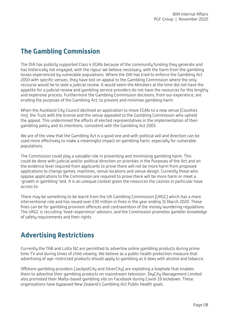#### **The Gambling Commission**

The DIA has publicly supported Class 4 EGMs because of the community funding they generate and has historically not engaged, with the rigour we believe necessary, with the harm from the gambling losses experienced by vulnerable populations. Where the DIA has tried to enforce the Gambling Act 2003 with specific venues, they have lost on appeal to the Gambling Commission where the only recourse would be to seek a judicial review. It would seem the Ministers at the time did not have the appetite for a judicial review and gambling service providers do not have the resources for this lengthy and expensive process. Furthermore the Gambling Commission decisions, from our experience, are eroding the purposes of the Gambling Act; to prevent and minimise gambling harm.

When the Auckland City Council declined an application to move EGMs to a new venue (Counties Inn), the Trust with the license and the venue appealed to the Gambling Commission who upheld the appeal. This undermined the efforts of elected representatives in the implementation of their gambling policy and its intentions, consistent with the Gambling Act 2003.

We are of the view that the Gambling Act is a good one and with political will and direction can be used more effectively to make a meaningful impact on gambling harm, especially for vulnerable populations.

The Commission could play a valuable role in preventing and minimising gambling harm. This could be done with judicial and/or political direction on priorities in the Purposes of the Act and on the evidence level required from applicants to prove there will not be more harm from proposed applications to change games, machines, venue locations and venue design. Currently those who oppose applications to the Commission are required to prove there will be more harm or meet a 'growth in gambling' test. It is an unequal contest given the resources the casinos in particular have access to.

There may be something to be learnt from the UK Gambling Commission (UKGC) which has a more interventional role and has issued over £30 million in fines in the year ending 31 March 2020. These fines can be for gambling provision offences and contravention of the money laundering regulations. The UKGC is recruiting 'lived-experience' advisors, and the Commission promotes gambler knowledge of safety requirements and their rights.

#### **Advertising Restrictions**

Currently the TAB and Lotto NZ are permitted to advertise online gambling products during prime time TV and during times of child viewing. We believe as a public health protection measure that advertising of age-restricted products should apply to gambling as it does with alcohol and tobacco.

Offshore gambling providers (JackpotCity and SilverCity) are exploiting a loophole that enables them to advertise their gambling products on mainstream television. SkyCity Management Limited also promoted their Malta-based gambling site on Facebook during Covid-19 lockdown. These organisations have bypassed New Zealand's Gambling Act Public Health goals.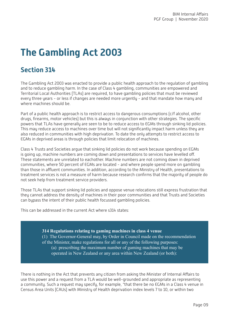# **The Gambling Act 2003**

#### **Section 314**

The Gambling Act 2003 was enacted to provide a public health approach to the regulation of gambling and to reduce gambling harm. In the case of Class 4 gambling, communities are empowered and Territorial Local Authorities (TLAs) are required, to have gambling policies that must be reviewed every three years - or less if changes are needed more urgently - and that mandate how many and where machines should be.

Part of a public health approach is to restrict access to dangerous consumptions (c/f alcohol, other drugs, firearms, motor vehicles) but this is always in conjunction with other strategies. The specific powers that TLAs have generally are seen to be to reduce access to EGMs through sinking lid policies. This may reduce access to machines over time but will not significantly impact harm unless they are also reduced in communities with high deprivation. To date the only attempts to restrict access to EGMs in deprived areas is through policies that limit relocation of machines.

Class 4 Trusts and Societies argue that sinking lid policies do not work because spending on EGMs is going up, machine numbers are coming down and presentations to services have levelled off. These statements are unrelated to eachother. Machine numbers are not coming down in deprived communities, where 50 percent of EGMs are located - and where people spend more on gambling than those in affluent communities. In addition, according to the Ministry of Health, presentations to treatment services is not a measure of harm because research confirms that the majority of people do not seek help from treatment service providers.

Those TLAs that support sinking lid policies and oppose venue relocations still express frustration that they cannot address the density of machines in their poor communities and that Trusts and Societies can bypass the intent of their public health focussed gambling policies.

This can be addressed in the current Act where s314 states:

**314 Regulations relating to gaming machines in class 4 venue** (1) The Governor-General may, by Order in Council made on the recommendation of the Minister, make regulations for all or any of the following purposes: (a) prescribing the maximum number of gaming machines that may be operated in New Zealand or any area within New Zealand (or both):

There is nothing in the Act that prevents any citizen from asking the Minister of Internal Affairs to use this power and a request from a TLA would be well-grounded and appropriate as representing a community. Such a request may specify, for example, "that there be no EGMs in a Class 4 venue in Census Area Units (CAUs) with Ministry of Health deprivation index levels 7 to 10, or within two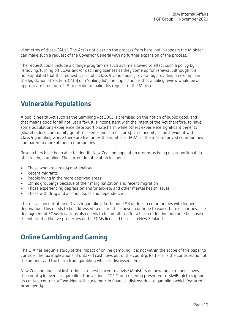kilometres of these CAUs". The Act is not clear on the process from here, but it appears the Minister can make such a request of the Governor General with no further expansion of the process.

The request could include a change programme such as time allowed to effect such a policy by removing/turning off EGMs and/or declining licenses as they come up for renewal. Although it is not stipulated that this request is part of a Class 4 venue policy review, by providing an example in the legislation at Section 314(b) of a 'sinking lid', the implication is that a policy review would be an appropriate time for a TLA to decide to make this request of the Minister.

#### **Vulnerable Populations**

A public health Act such as the Gambling Act 2003 is premised on the notion of public good, and that means good for all not just a few. It is inconsistent with the intent of the Act therefore, to have some populations experience disproportionate harm while others experience significant benefits (shareholders, community grant recipients and some sports). This inequity is most evident with Class 4 gambling where there are five times the number of EGMs in the most deprived communities compared to more affluent communities.

Researchers have been able to identify New Zealand population groups as being disproportionately affected by gambling. The current identification includes:

- Those who are already marginalised
- Recent migrants
- People living in the more deprived areas
- Ethnic groupings becasue of their marginalisation and recent migration
- Those experiencing depression and/or anxiety and other mental health issues
- Those with drug and alcohol issues and dependence

There is a concentration of Class 4 gambling, Lotto and TAB outlets in communities with higher deprivation. This needs to be addressed to ensure this doesn't continue to exacerbate disparities. The deployment of EGMs in casinos also needs to be monitored for a harm reduction outcome because of the inherent addictive properties of the EGMs licensed for use in New Zealand.

#### **Online Gambling and Gaming**

The DIA has begun a study of the impact of online gambling. It is not within the scope of this paper to consider the tax implications of untaxed cashflows out of the country. Rather it is the consideration of the amount and the harm from gambling which is discussed here.

New Zealand financial institutions are best placed to advise Ministers on how much money leaves the country in overseas gambling transactions. PGF Group recently presented to KiwiBank to support its contact centre staff working with customers in financial distress due to gambling which featured prominently.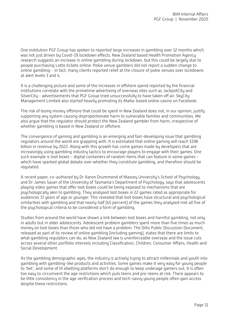One institution PGF Group has spoken to reported large increases in gambling over 12 months which was not just driven by Covid-19 lockdown effects. New Zealand based Health Promotion Agency research suggests an increase in online gambling during lockdown, but this could be largely due to people purchasing Lotto tickets online. Pokie venue gamblers did not report a sudden change to online gambling - in fact, many clients reported relief at the closure of pokie venues over lockdowns at alert levels 3 and 4.

It is a challenging picture and some of the increases in offshore spend reported by the financial institutions correlate with the primetime advertising of overseas sites such as JackpotCity and SilverCity - advertisements that PGF Group tried unsuccessfully to have taken off air. SkyCity Management Limited also started heavily promoting its Malta-based online casino on Facebook.

The risk of losing money offshore that could be spent in New Zealand does not, in our opinion, justify supporting any system causing disproportionate harm to vulnerable families and communities. We also argue that the regulator should protect the New Zealand gambler from harm, irrespective of whether gambling is based in New Zealand or offshore.

The convergence of gaming and gambling is an emerging and fast-developing issue that gambling regulators around the world are grappling with. It is estimated that online gaming will reach \$196 billion in revenue by 2022. Along with this growth has come games made by developers that are increasingly using gambling industry tactics to encourage players to engage with their games. One such example is loot boxes - digital containers of random items that can feature in some games which have sparked global debate over whether they constitute gambling, and therefore should be regulated.

A recent paper, co-authored by Dr Aaron Drummond of Massey University's School of Psychology, and Dr James Sauer of the University of Tasmania's Department of Psychology, says that adolescents playing video games that offer loot boxes could be being exposed to mechanisms that are psychologically akin to gambling. They analysed loot boxes in 22 games rated as appropriate for audiences 17 years of age or younger. This revealed that loot boxes have structural and psychological similarities with gambling and that nearly half (45 percent) of the games they analysed met all five of the psychological criteria to be considered a form of gambling.

Studies from around the world have shown a link between loot boxes and harmful gambling, not only in adults but in older adolescents. Adolescent problem gamblers spent more than five times as much money on loot boxes than those who did not have a problem. The DIAs Public Discussion Document, released as part of its review of online gambling (including gaming), states that there are limits to what gambling regulators can do, as New Zealand law is unenforceable overseas and the issue cuts across several other portfolio interests including Classification, Children, Consumer Affairs, Health and Social Development.

As the gambling demographic ages, the industry is actively trying to attract millennials and youth into gambling with gambling-like products and activities. Some games make it very easy for young people to 'bet', and some of th ebetting platforms don't do enough to keep underage gamers out. It is often too easy to circumvent the age restrictions which puts teens and pre-teens at risk. There appears to be little consistency in the age verification process and tech-savvy young people often gain access despite these restrictions.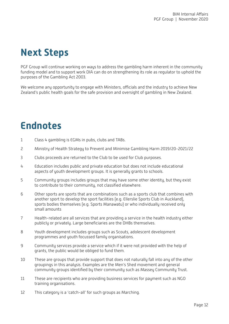# <span id="page-13-0"></span>**Next Steps**

PGF Group will continue working on ways to address the gambling harm inherent in the community funding model and to support work DIA can do on strengthening its role as regulator to uphold the purposes of the Gambling Act 2003.

We welcome any opportunity to engage with Ministers, officials and the industry to achieve New Zealand's public health goals for the safe provision and oversight of gambling in New Zealand.

### **Endnotes**

- [1](#page-5-0) Class 4 gambling is EGMs in pubs, clubs and TABs.
- [2](#page-5-0) Ministry of Health Strategy to Prevent and Minimise Gambling Harm 2019/20-2021/22
- [3](#page-5-0) Clubs proceeds are returned to the Club to be used for Club purposes.
- [4](#page-6-0) Education includes public and private education but does not include educational aspects of youth development groups. It is generally grants to schools.
- [5](#page-6-0) Community groups includes groups that may have some other identity, but they exist to contribute to their community, not classified elsewhere.
- [6](#page-6-0) Other sports are sports that are combinations such as a sports club that combines with another sport to develop the sport facilities (e.g. Ellerslie Sports Club in Auckland), sports bodies themselves (e.g. Sports Manawatu) or who individually received only small amounts
- [7](#page-6-0) Health-related are all services that are providing a service in the health industry either publicly or privately. Large beneficiaries are the DHBs themselves.
- [8](#page-6-0) Youth development includes groups such as Scouts, adolescent development programmes and youth focussed family organisations.
- [9](#page-6-0) Community services provide a service which if it were not provided with the help of grants, the public would be obliged to fund them.
- [10](#page-7-0) These are groups that provide support that does not naturally fall into any of the other groupings in this analysis. Examples are the Men's Shed movement and general community groups identified by their community such as Massey Community Trust.
- [11](#page-7-0) These are recipients who are providing business services for payment such as NGO training organisations.
- [12](#page-7-0) This category is a 'catch-all' for such groups as Marching.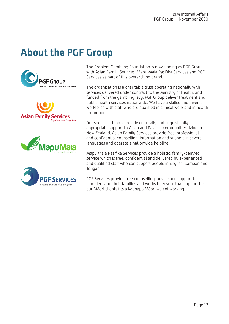# **About the PGF Group**









The Problem Gambling Foundation is now trading as PGF Group, with Asian Family Services, Mapu Maia Pasifika Services and PGF Services as part of this overarching brand.

The organisation is a charitable trust operating nationally with services delivered under contract to the Ministry of Health, and funded from the gambling levy. PGF Group deliver treatment and public health services nationwide. We have a skilled and diverse workforce with staff who are qualified in clinical work and in health promotion.

Our specialist teams provide culturally and linguistically appropriate support to Asian and Pasifika communities living in New Zealand. Asian Family Services provide free, professional and confidential counselling, information and support in several languages and operate a nationwide helpline.

Mapu Maia Pasifika Services provide a holistic, family-centred service which is free, confidential and delivered by experienced and qualified staff who can support people in English, Samoan and Tongan.

PGF Services provide free counselling, advice and support to gamblers and their families and works to ensure that support for our Māori clients fits a kaupapa Māori way of working.